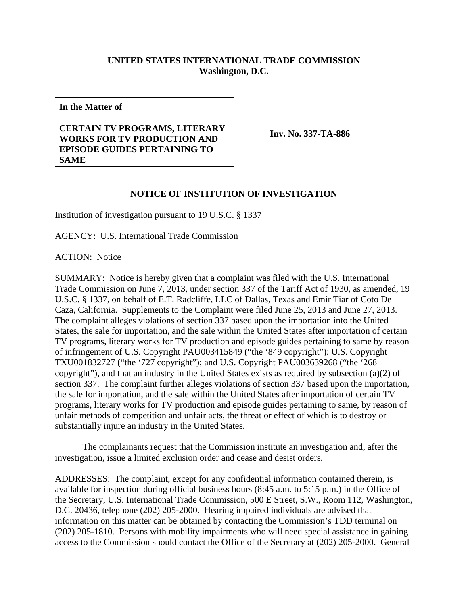## **UNITED STATES INTERNATIONAL TRADE COMMISSION Washington, D.C.**

**In the Matter of** 

## **CERTAIN TV PROGRAMS, LITERARY WORKS FOR TV PRODUCTION AND EPISODE GUIDES PERTAINING TO SAME**

**Inv. No. 337-TA-886**

## **NOTICE OF INSTITUTION OF INVESTIGATION**

Institution of investigation pursuant to 19 U.S.C. § 1337

AGENCY: U.S. International Trade Commission

ACTION: Notice

SUMMARY: Notice is hereby given that a complaint was filed with the U.S. International Trade Commission on June 7, 2013, under section 337 of the Tariff Act of 1930, as amended, 19 U.S.C. § 1337, on behalf of E.T. Radcliffe, LLC of Dallas, Texas and Emir Tiar of Coto De Caza, California. Supplements to the Complaint were filed June 25, 2013 and June 27, 2013. The complaint alleges violations of section 337 based upon the importation into the United States, the sale for importation, and the sale within the United States after importation of certain TV programs, literary works for TV production and episode guides pertaining to same by reason of infringement of U.S. Copyright PAU003415849 ("the '849 copyright"); U.S. Copyright TXU001832727 ("the '727 copyright"); and U.S. Copyright PAU003639268 ("the '268 copyright"), and that an industry in the United States exists as required by subsection (a)(2) of section 337. The complaint further alleges violations of section 337 based upon the importation, the sale for importation, and the sale within the United States after importation of certain TV programs, literary works for TV production and episode guides pertaining to same, by reason of unfair methods of competition and unfair acts, the threat or effect of which is to destroy or substantially injure an industry in the United States.

 The complainants request that the Commission institute an investigation and, after the investigation, issue a limited exclusion order and cease and desist orders.

ADDRESSES: The complaint, except for any confidential information contained therein, is available for inspection during official business hours (8:45 a.m. to 5:15 p.m.) in the Office of the Secretary, U.S. International Trade Commission, 500 E Street, S.W., Room 112, Washington, D.C. 20436, telephone (202) 205-2000. Hearing impaired individuals are advised that information on this matter can be obtained by contacting the Commission's TDD terminal on (202) 205-1810. Persons with mobility impairments who will need special assistance in gaining access to the Commission should contact the Office of the Secretary at (202) 205-2000. General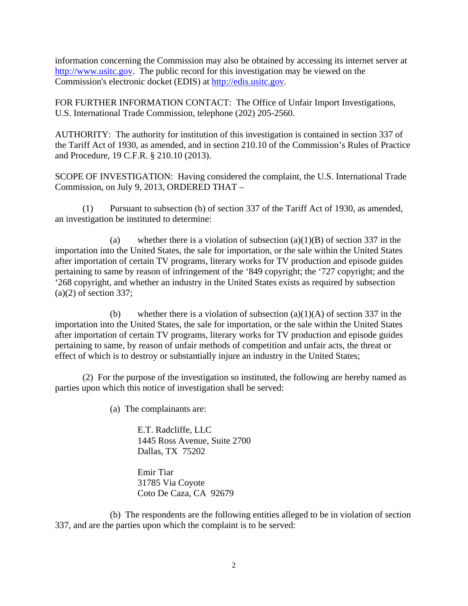information concerning the Commission may also be obtained by accessing its internet server at http://www.usitc.gov. The public record for this investigation may be viewed on the Commission's electronic docket (EDIS) at http://edis.usitc.gov.

FOR FURTHER INFORMATION CONTACT: The Office of Unfair Import Investigations, U.S. International Trade Commission, telephone (202) 205-2560.

AUTHORITY: The authority for institution of this investigation is contained in section 337 of the Tariff Act of 1930, as amended, and in section 210.10 of the Commission's Rules of Practice and Procedure, 19 C.F.R. § 210.10 (2013).

SCOPE OF INVESTIGATION: Having considered the complaint, the U.S. International Trade Commission, on July 9, 2013, ORDERED THAT –

(1) Pursuant to subsection (b) of section 337 of the Tariff Act of 1930, as amended, an investigation be instituted to determine:

(a) whether there is a violation of subsection  $(a)(1)(B)$  of section 337 in the importation into the United States, the sale for importation, or the sale within the United States after importation of certain TV programs, literary works for TV production and episode guides pertaining to same by reason of infringement of the '849 copyright; the '727 copyright; and the '268 copyright, and whether an industry in the United States exists as required by subsection  $(a)(2)$  of section 337;

(b) whether there is a violation of subsection  $(a)(1)(A)$  of section 337 in the importation into the United States, the sale for importation, or the sale within the United States after importation of certain TV programs, literary works for TV production and episode guides pertaining to same, by reason of unfair methods of competition and unfair acts, the threat or effect of which is to destroy or substantially injure an industry in the United States;

 (2) For the purpose of the investigation so instituted, the following are hereby named as parties upon which this notice of investigation shall be served:

(a) The complainants are:

 E.T. Radcliffe, LLC 1445 Ross Avenue, Suite 2700 Dallas, TX 75202

 Emir Tiar 31785 Via Coyote Coto De Caza, CA 92679

 (b) The respondents are the following entities alleged to be in violation of section 337, and are the parties upon which the complaint is to be served: